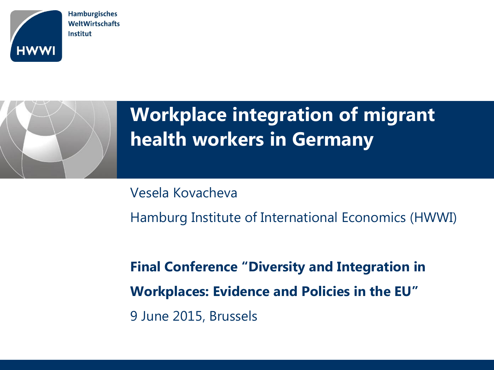

**Hamburgisches** WeltWirtschafts Institut

# **Workplace integration of migrant health workers in Germany**

Vesela Kovacheva Hamburg Institute of International Economics (HWWI)

**Final Conference "Diversity and Integration in Workplaces: Evidence and Policies in the EU"** 9 June 2015, Brussels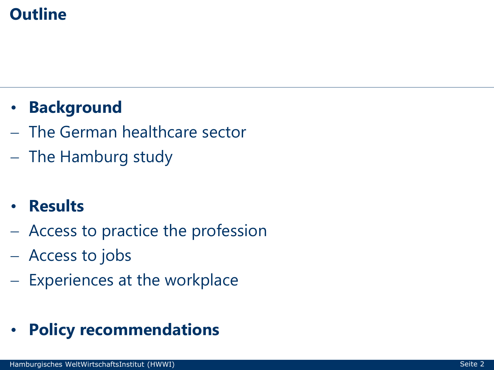### **Outline**

## • **Background**

- The German healthcare sector
- The Hamburg study
- **Results**
- Access to practice the profession
- Access to jobs
- Experiences at the workplace

## • **Policy recommendations**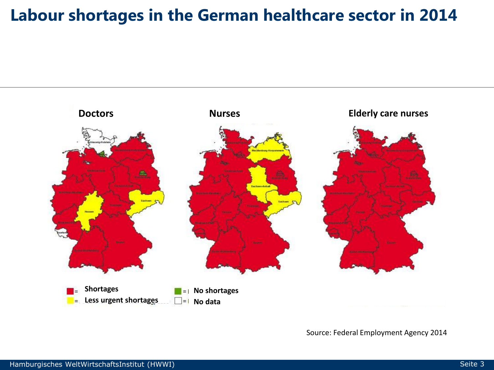#### **Labour shortages in the German healthcare sector in 2014**



Source: Federal Employment Agency 2014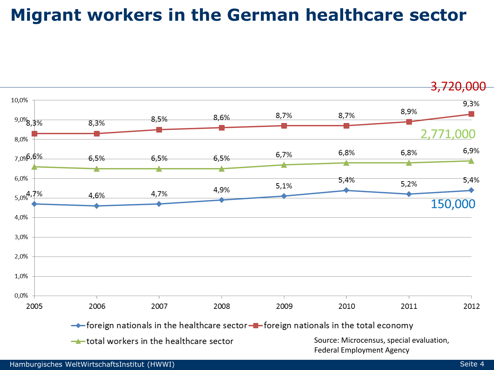## **Migrant workers in the German healthcare sector**

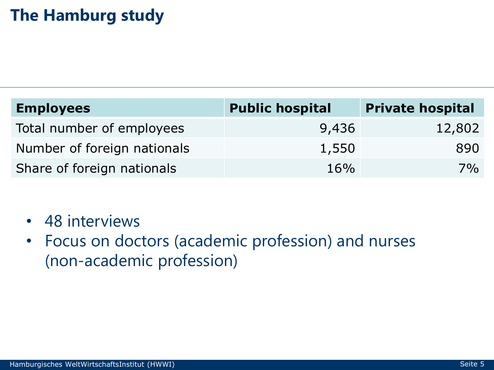### **The Hamburg study**

| <b>Employees</b>            | <b>Public hospital</b> | <b>Private hospital</b> |
|-----------------------------|------------------------|-------------------------|
| Total number of employees   | 9,436                  | 12,802                  |
| Number of foreign nationals | 1,550                  | 890                     |
| Share of foreign nationals  | 16%                    | 7%                      |

- 48 interviews
- Focus on doctors (academic profession) and nurses (non-academic profession)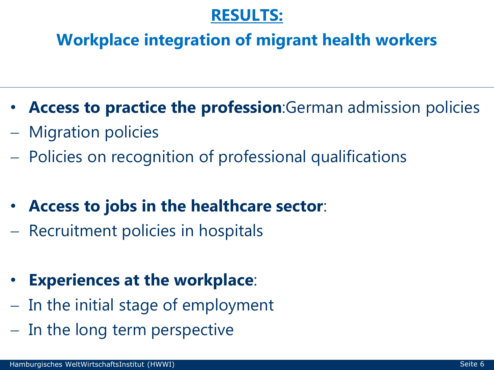#### **RESULTS:**

#### **Workplace integration of migrant health workers**

- **Access to practice the profession**:German admission policies
- Migration policies
- Policies on recognition of professional qualifications
- **Access to jobs in the healthcare sector**:
- Recruitment policies in hospitals

## • **Experiences at the workplace**:

- $-$  In the initial stage of employment
- In the long term perspective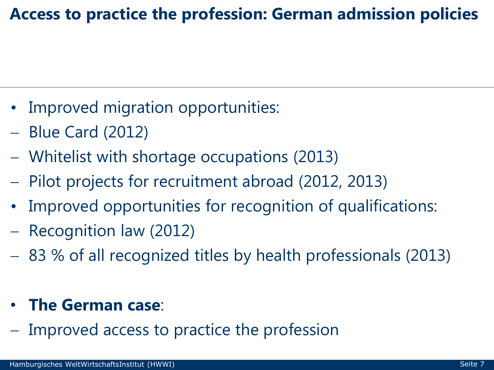#### **Access to practice the profession: German admission policies**

- Improved migration opportunities:
- Blue Card (2012)
- Whitelist with shortage occupations (2013)
- Pilot projects for recruitment abroad (2012, 2013)
- Improved opportunities for recognition of qualifications:
- Recognition law (2012)
- 83 % of all recognized titles by health professionals (2013)

#### • **The German case**:

- Improved access to practice the profession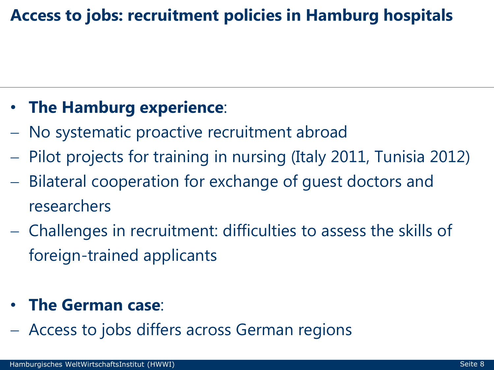## **Access to jobs: recruitment policies in Hamburg hospitals**

## • **The Hamburg experience**:

- No systematic proactive recruitment abroad
- Pilot projects for training in nursing (Italy 2011, Tunisia 2012)
- Bilateral cooperation for exchange of guest doctors and researchers
- Challenges in recruitment: difficulties to assess the skills of foreign-trained applicants

#### • **The German case**:

Access to jobs differs across German regions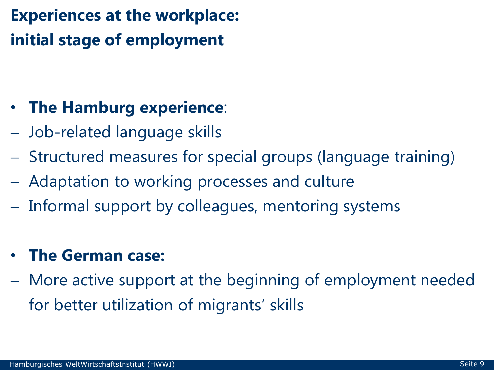## **Experiences at the workplace: initial stage of employment**

#### • **The Hamburg experience**:

- Job-related language skills
- Structured measures for special groups (language training)
- Adaptation to working processes and culture
- Informal support by colleagues, mentoring systems

#### • **The German case:**

 More active support at the beginning of employment needed for better utilization of migrants' skills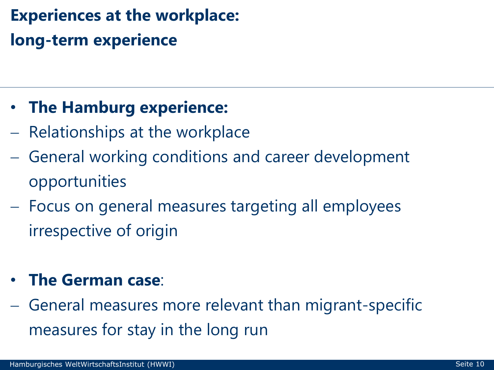## **Experiences at the workplace: long-term experience**

#### • **The Hamburg experience:**

- Relationships at the workplace
- General working conditions and career development opportunities
- Focus on general measures targeting all employees irrespective of origin

#### • **The German case**:

 General measures more relevant than migrant-specific measures for stay in the long run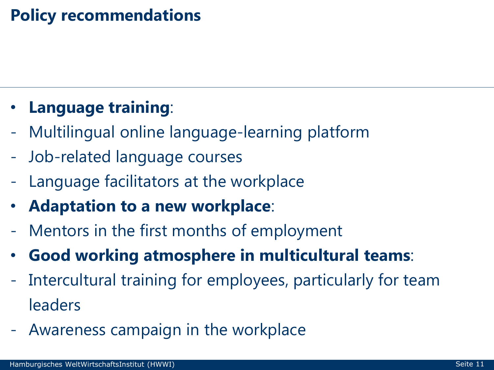#### **Policy recommendations**

#### • **Language training**:

- Multilingual online language-learning platform
- Job-related language courses
- Language facilitators at the workplace
- **Adaptation to a new workplace**:
- Mentors in the first months of employment
- **Good working atmosphere in multicultural teams**:
- Intercultural training for employees, particularly for team leaders
- Awareness campaign in the workplace